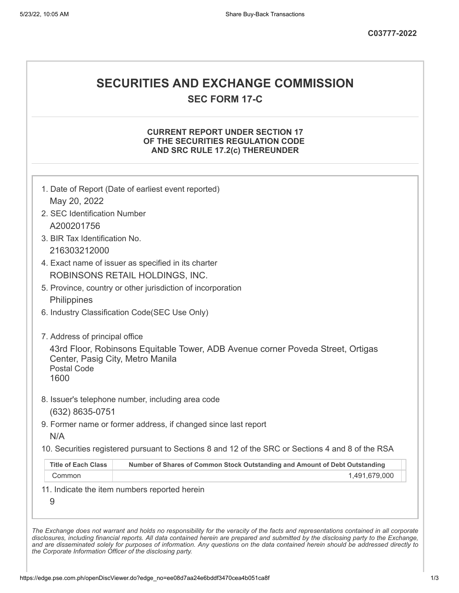# **SECURITIES AND EXCHANGE COMMISSION**

**SEC FORM 17-C**

## **CURRENT REPORT UNDER SECTION 17 OF THE SECURITIES REGULATION CODE AND SRC RULE 17.2(c) THEREUNDER**

|                                                                | 1. Date of Report (Date of earliest event reported)                                               |
|----------------------------------------------------------------|---------------------------------------------------------------------------------------------------|
| 2. SEC Identification Number                                   |                                                                                                   |
| A200201756                                                     |                                                                                                   |
| 3. BIR Tax Identification No.                                  |                                                                                                   |
| 216303212000                                                   |                                                                                                   |
|                                                                | 4. Exact name of issuer as specified in its charter                                               |
|                                                                | ROBINSONS RETAIL HOLDINGS, INC.                                                                   |
|                                                                | 5. Province, country or other jurisdiction of incorporation                                       |
| Philippines                                                    |                                                                                                   |
|                                                                | 6. Industry Classification Code(SEC Use Only)                                                     |
| 7. Address of principal office                                 |                                                                                                   |
| Center, Pasig City, Metro Manila<br><b>Postal Code</b><br>1600 | 43rd Floor, Robinsons Equitable Tower, ADB Avenue corner Poveda Street, Ortigas                   |
| (632) 8635-0751                                                | 8. Issuer's telephone number, including area code                                                 |
| N/A                                                            | 9. Former name or former address, if changed since last report                                    |
|                                                                | 10. Securities registered pursuant to Sections 8 and 12 of the SRC or Sections 4 and 8 of the RSA |
|                                                                | Number of Shares of Common Stock Outstanding and Amount of Debt Outstanding                       |
| <b>Title of Each Class</b>                                     | 1,491,679,000                                                                                     |
| Common                                                         |                                                                                                   |

*the Corporate Information Officer of the disclosing party.*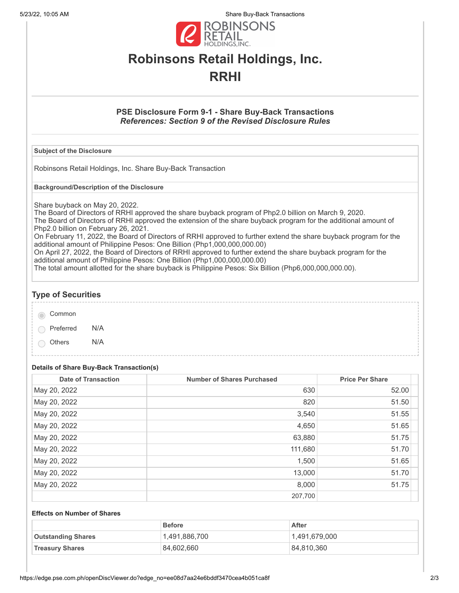5/23/22, 10:05 AM Share Buy-Back Transactions



# **Robinsons Retail Holdings, Inc. RRHI**

## **PSE Disclosure Form 9-1 - Share Buy-Back Transactions** *References: Section 9 of the Revised Disclosure Rules*

#### **Subject of the Disclosure**

Robinsons Retail Holdings, Inc. Share Buy-Back Transaction

**Background/Description of the Disclosure**

Share buyback on May 20, 2022.

The Board of Directors of RRHI approved the share buyback program of Php2.0 billion on March 9, 2020. The Board of Directors of RRHI approved the extension of the share buyback program for the additional amount of Php2.0 billion on February 26, 2021.

On February 11, 2022, the Board of Directors of RRHI approved to further extend the share buyback program for the additional amount of Philippine Pesos: One Billion (Php1,000,000,000.00)

On April 27, 2022, the Board of Directors of RRHI approved to further extend the share buyback program for the additional amount of Philippine Pesos: One Billion (Php1,000,000,000.00)

The total amount allotted for the share buyback is Philippine Pesos: Six Billion (Php6,000,000,000.00).

## **Type of Securities**

|  | Common |
|--|--------|
|--|--------|

Preferred N/A

Others N/A

## **Details of Share Buy-Back Transaction(s)**

| <b>Date of Transaction</b> | <b>Number of Shares Purchased</b> | <b>Price Per Share</b> |
|----------------------------|-----------------------------------|------------------------|
| May 20, 2022               | 630                               | 52.00                  |
| May 20, 2022               | 820                               | 51.50                  |
| May 20, 2022               | 3,540                             | 51.55                  |
| May 20, 2022               | 4,650                             | 51.65                  |
| May 20, 2022               | 63,880                            | 51.75                  |
| May 20, 2022               | 111,680                           | 51.70                  |
| May 20, 2022               | 1,500                             | 51.65                  |
| May 20, 2022               | 13,000                            | 51.70                  |
| May 20, 2022               | 8,000                             | 51.75                  |
|                            | 207,700                           |                        |

#### **Effects on Number of Shares**

|                           | <b>Before</b> | After         |
|---------------------------|---------------|---------------|
| <b>Outstanding Shares</b> | 1,491,886,700 | 1,491,679,000 |
| <b>Treasury Shares</b>    | 84,602,660    | 84,810,360    |